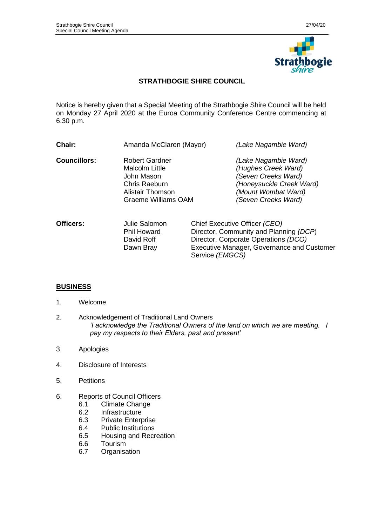

# **STRATHBOGIE SHIRE COUNCIL**

Notice is hereby given that a Special Meeting of the Strathbogie Shire Council will be held on Monday 27 April 2020 at the Euroa Community Conference Centre commencing at 6.30 p.m.

| Chair:              | Amanda McClaren (Mayor)                                                                                                  |                                                                                                                | (Lake Nagambie Ward)                                                                                                                         |
|---------------------|--------------------------------------------------------------------------------------------------------------------------|----------------------------------------------------------------------------------------------------------------|----------------------------------------------------------------------------------------------------------------------------------------------|
| <b>Councillors:</b> | <b>Robert Gardner</b><br>Malcolm Little<br>John Mason<br>Chris Raeburn<br>Alistair Thomson<br><b>Graeme Williams OAM</b> |                                                                                                                | (Lake Nagambie Ward)<br>(Hughes Creek Ward)<br>(Seven Creeks Ward)<br>(Honeysuckle Creek Ward)<br>(Mount Wombat Ward)<br>(Seven Creeks Ward) |
| <b>Officers:</b>    | Julie Salomon<br><b>Phil Howard</b><br>David Roff                                                                        | Chief Executive Officer (CEO)<br>Director, Community and Planning (DCP)<br>Director Cornorate Operations (DCO) |                                                                                                                                              |

David Roff Director, Corporate Operations *(DCO)* Dawn Bray Executive Manager, Governance and Customer Service *(EMGCS)*

# **BUSINESS**

- 1. Welcome
- 2. Acknowledgement of Traditional Land Owners *'I acknowledge the Traditional Owners of the land on which we are meeting. I pay my respects to their Elders, past and present'*
- 3. Apologies
- 4. Disclosure of Interests
- 5. Petitions
- 6. Reports of Council Officers
	- 6.1 Climate Change
	- 6.2 Infrastructure<br>6.3 Private Enterp
	- Private Enterprise
	- 6.4 Public Institutions
	- 6.5 Housing and Recreation
	- 6.6 Tourism
	- 6.7 Organisation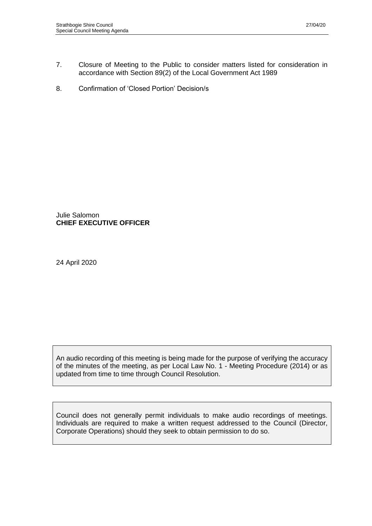- 7. Closure of Meeting to the Public to consider matters listed for consideration in accordance with Section 89(2) of the Local Government Act 1989
- 8. Confirmation of 'Closed Portion' Decision/s

Julie Salomon **CHIEF EXECUTIVE OFFICER**

24 April 2020

An audio recording of this meeting is being made for the purpose of verifying the accuracy of the minutes of the meeting, as per Local Law No. 1 - Meeting Procedure (2014) or as updated from time to time through Council Resolution.

Council does not generally permit individuals to make audio recordings of meetings. Individuals are required to make a written request addressed to the Council (Director, Corporate Operations) should they seek to obtain permission to do so.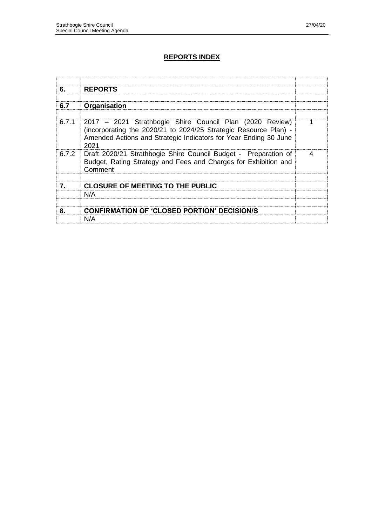# **REPORTS INDEX**

| 6.           | <b>REPORTS</b>                                                                                                                                                                                           |   |
|--------------|----------------------------------------------------------------------------------------------------------------------------------------------------------------------------------------------------------|---|
|              |                                                                                                                                                                                                          |   |
| 6.7          | Organisation                                                                                                                                                                                             |   |
|              |                                                                                                                                                                                                          |   |
| 6.7.1        | 2017 – 2021 Strathbogie Shire Council Plan (2020 Review)<br>(incorporating the 2020/21 to 2024/25 Strategic Resource Plan) -<br>Amended Actions and Strategic Indicators for Year Ending 30 June<br>2021 |   |
| 6.7.2        | Draft 2020/21 Strathbogie Shire Council Budget - Preparation of<br>Budget, Rating Strategy and Fees and Charges for Exhibition and<br>Comment                                                            | 4 |
| $\mathbf{7}$ | <b>CLOSURE OF MEETING TO THE PUBLIC</b>                                                                                                                                                                  |   |
|              | N/A                                                                                                                                                                                                      |   |
|              |                                                                                                                                                                                                          |   |
| 8.           | <b>CONFIRMATION OF 'CLOSED PORTION' DECISION/S</b>                                                                                                                                                       |   |
|              | N/A                                                                                                                                                                                                      |   |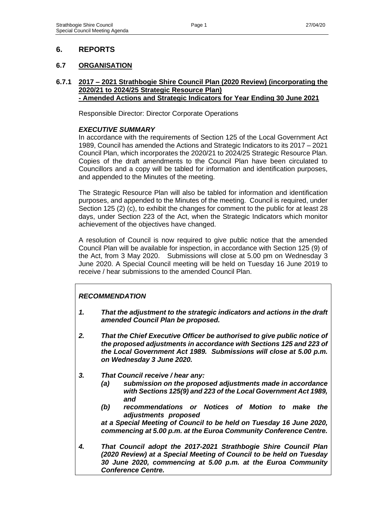# **6. REPORTS**

# **6.7 ORGANISATION**

#### **6.7.1 2017 – 2021 Strathbogie Shire Council Plan (2020 Review) (incorporating the 2020/21 to 2024/25 Strategic Resource Plan) - Amended Actions and Strategic Indicators for Year Ending 30 June 2021**

Responsible Director: Director Corporate Operations

### *EXECUTIVE SUMMARY*

In accordance with the requirements of Section 125 of the Local Government Act 1989, Council has amended the Actions and Strategic Indicators to its 2017 – 2021 Council Plan, which incorporates the 2020/21 to 2024/25 Strategic Resource Plan. Copies of the draft amendments to the Council Plan have been circulated to Councillors and a copy will be tabled for information and identification purposes, and appended to the Minutes of the meeting.

The Strategic Resource Plan will also be tabled for information and identification purposes, and appended to the Minutes of the meeting. Council is required, under Section 125 (2) (c), to exhibit the changes for comment to the public for at least 28 days, under Section 223 of the Act, when the Strategic Indicators which monitor achievement of the objectives have changed.

A resolution of Council is now required to give public notice that the amended Council Plan will be available for inspection, in accordance with Section 125 (9) of the Act, from 3 May 2020. Submissions will close at 5.00 pm on Wednesday 3 June 2020. A Special Council meeting will be held on Tuesday 16 June 2019 to receive / hear submissions to the amended Council Plan.

# *RECOMMENDATION*

- *1. That the adjustment to the strategic indicators and actions in the draft amended Council Plan be proposed.*
- *2. That the Chief Executive Officer be authorised to give public notice of the proposed adjustments in accordance with Sections 125 and 223 of the Local Government Act 1989. Submissions will close at 5.00 p.m. on Wednesday 3 June 2020.*
- *3. That Council receive / hear any:*
	- *(a) submission on the proposed adjustments made in accordance with Sections 125(9) and 223 of the Local Government Act 1989, and*
	- *(b) recommendations or Notices of Motion to make the adjustments proposed*

*at a Special Meeting of Council to be held on Tuesday 16 June 2020, commencing at 5.00 p.m. at the Euroa Community Conference Centre.*

*4. That Council adopt the 2017-2021 Strathbogie Shire Council Plan (2020 Review) at a Special Meeting of Council to be held on Tuesday 30 June 2020, commencing at 5.00 p.m. at the Euroa Community Conference Centre.*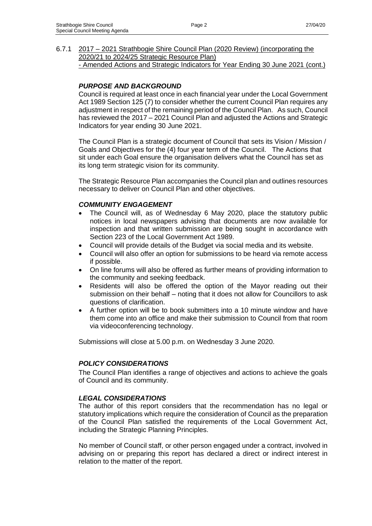6.7.1 2017 – 2021 Strathbogie Shire Council Plan (2020 Review) (incorporating the 2020/21 to 2024/25 Strategic Resource Plan) - Amended Actions and Strategic Indicators for Year Ending 30 June 2021 (cont.)

### *PURPOSE AND BACKGROUND*

Council is required at least once in each financial year under the Local Government Act 1989 Section 125 (7) to consider whether the current Council Plan requires any adjustment in respect of the remaining period of the Council Plan. As such, Council has reviewed the 2017 – 2021 Council Plan and adjusted the Actions and Strategic Indicators for year ending 30 June 2021.

The Council Plan is a strategic document of Council that sets its Vision / Mission / Goals and Objectives for the (4) four year term of the Council. The Actions that sit under each Goal ensure the organisation delivers what the Council has set as its long term strategic vision for its community.

The Strategic Resource Plan accompanies the Council plan and outlines resources necessary to deliver on Council Plan and other objectives.

#### *COMMUNITY ENGAGEMENT*

- The Council will, as of Wednesday 6 May 2020, place the statutory public notices in local newspapers advising that documents are now available for inspection and that written submission are being sought in accordance with Section 223 of the Local Government Act 1989.
- Council will provide details of the Budget via social media and its website.
- Council will also offer an option for submissions to be heard via remote access if possible.
- On line forums will also be offered as further means of providing information to the community and seeking feedback.
- Residents will also be offered the option of the Mayor reading out their submission on their behalf – noting that it does not allow for Councillors to ask questions of clarification.
- A further option will be to book submitters into a 10 minute window and have them come into an office and make their submission to Council from that room via videoconferencing technology.

Submissions will close at 5.00 p.m. on Wednesday 3 June 2020.

### *POLICY CONSIDERATIONS*

The Council Plan identifies a range of objectives and actions to achieve the goals of Council and its community.

#### *LEGAL CONSIDERATIONS*

The author of this report considers that the recommendation has no legal or statutory implications which require the consideration of Council as the preparation of the Council Plan satisfied the requirements of the Local Government Act, including the Strategic Planning Principles.

No member of Council staff, or other person engaged under a contract, involved in advising on or preparing this report has declared a direct or indirect interest in relation to the matter of the report.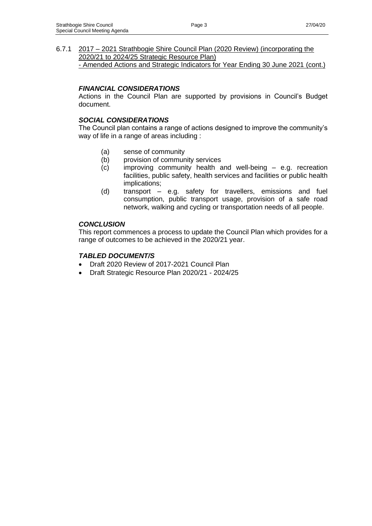6.7.1 2017 – 2021 Strathbogie Shire Council Plan (2020 Review) (incorporating the 2020/21 to 2024/25 Strategic Resource Plan) - Amended Actions and Strategic Indicators for Year Ending 30 June 2021 (cont.)

### *FINANCIAL CONSIDERATIONS*

Actions in the Council Plan are supported by provisions in Council's Budget document.

#### *SOCIAL CONSIDERATIONS*

The Council plan contains a range of actions designed to improve the community's way of life in a range of areas including :

- (a) sense of community
- (b) provision of community services
- (c) improving community health and well-being e.g. recreation facilities, public safety, health services and facilities or public health implications;
- (d) transport e.g. safety for travellers, emissions and fuel consumption, public transport usage, provision of a safe road network, walking and cycling or transportation needs of all people.

#### *CONCLUSION*

This report commences a process to update the Council Plan which provides for a range of outcomes to be achieved in the 2020/21 year.

#### *TABLED DOCUMENT/S*

- Draft 2020 Review of 2017-2021 Council Plan
- Draft Strategic Resource Plan 2020/21 2024/25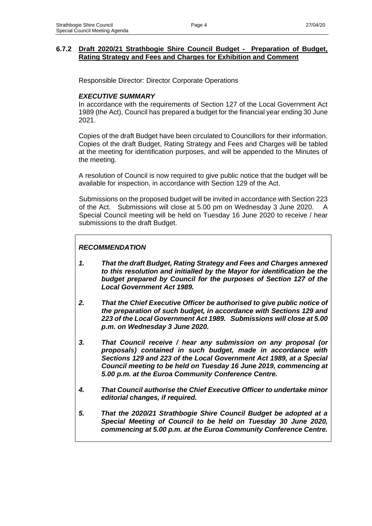### **6.7.2 Draft 2020/21 Strathbogie Shire Council Budget - Preparation of Budget, Rating Strategy and Fees and Charges for Exhibition and Comment**

Responsible Director: Director Corporate Operations

### *EXECUTIVE SUMMARY*

In accordance with the requirements of Section 127 of the Local Government Act 1989 (the Act), Council has prepared a budget for the financial year ending 30 June 2021.

Copies of the draft Budget have been circulated to Councillors for their information. Copies of the draft Budget, Rating Strategy and Fees and Charges will be tabled at the meeting for identification purposes, and will be appended to the Minutes of the meeting.

A resolution of Council is now required to give public notice that the budget will be available for inspection, in accordance with Section 129 of the Act.

Submissions on the proposed budget will be invited in accordance with Section 223 of the Act. Submissions will close at 5.00 pm on Wednesday 3 June 2020. A Special Council meeting will be held on Tuesday 16 June 2020 to receive / hear submissions to the draft Budget.

### *RECOMMENDATION*

- *1. That the draft Budget, Rating Strategy and Fees and Charges annexed to this resolution and initialled by the Mayor for identification be the budget prepared by Council for the purposes of Section 127 of the Local Government Act 1989.*
- *2. That the Chief Executive Officer be authorised to give public notice of the preparation of such budget, in accordance with Sections 129 and 223 of the Local Government Act 1989. Submissions will close at 5.00 p.m. on Wednesday 3 June 2020.*
- *3. That Council receive / hear any submission on any proposal (or proposals) contained in such budget, made in accordance with Sections 129 and 223 of the Local Government Act 1989, at a Special Council meeting to be held on Tuesday 16 June 2019, commencing at 5.00 p.m. at the Euroa Community Conference Centre.*
- *4. That Council authorise the Chief Executive Officer to undertake minor editorial changes, if required.*
- *5. That the 2020/21 Strathbogie Shire Council Budget be adopted at a Special Meeting of Council to be held on Tuesday 30 June 2020, commencing at 5.00 p.m. at the Euroa Community Conference Centre.*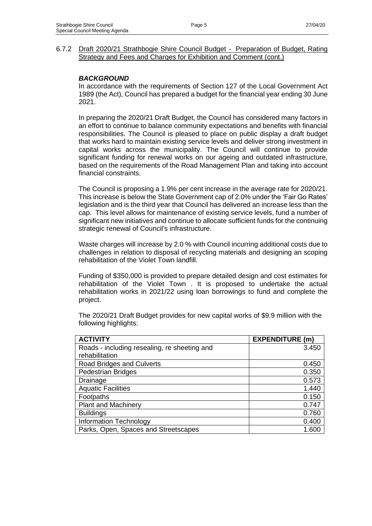#### 6.7.2 Draft 2020/21 Strathbogie Shire Council Budget - Preparation of Budget, Rating Strategy and Fees and Charges for Exhibition and Comment (cont.)

#### *BACKGROUND*

In accordance with the requirements of Section 127 of the Local Government Act 1989 (the Act), Council has prepared a budget for the financial year ending 30 June 2021.

In preparing the 2020/21 Draft Budget, the Council has considered many factors in an effort to continue to balance community expectations and benefits with financial responsibilities. The Council is pleased to place on public display a draft budget that works hard to maintain existing service levels and deliver strong investment in capital works across the municipality. The Council will continue to provide significant funding for renewal works on our ageing and outdated infrastructure, based on the requirements of the Road Management Plan and taking into account financial constraints.

The Council is proposing a 1.9% per cent increase in the average rate for 2020/21. This increase is below the State Government cap of 2.0% under the 'Fair Go Rates' legislation and is the third year that Council has delivered an increase less than the cap. This level allows for maintenance of existing service levels, fund a number of significant new initiatives and continue to allocate sufficient funds for the continuing strategic renewal of Council's infrastructure.

Waste charges will increase by 2.0 % with Council incurring additional costs due to challenges in relation to disposal of recycling materials and designing an scoping rehabilitation of the Violet Town landfill.

Funding of \$350,000 is provided to prepare detailed design and cost estimates for rehabilitation of the Violet Town . It is proposed to undertake the actual rehabilitation works in 2021/22 using loan borrowings to fund and complete the project.

**ACTIVITY EXPENDITURE (m)** Roads - including resealing, re sheeting and rehabilitation 3.450 Road Bridges and Culverts **Canadian Culverts** and Culverts and Culverts and Culverts and Culverts and Culverts and Culverts and Culverts and Culverts and Culverts and Culverts and Culverts and Culverts and Culverts and Cul Pedestrian Bridges **Development Contract Contract Contract Contract Contract Contract Contract Contract Contract Contract Contract Contract Contract Contract Contract Contract Contract Contract Contract Contract Contract C** Drainage 0.573 Aquatic Facilities 1.440 Footpaths 6.150 Plant and Machinery 0.747 Buildings 0.760 Information Technology **0.400** Parks, Open, Spaces and Streetscapes 1.600

The 2020/21 Draft Budget provides for new capital works of \$9.9 million with the following highlights: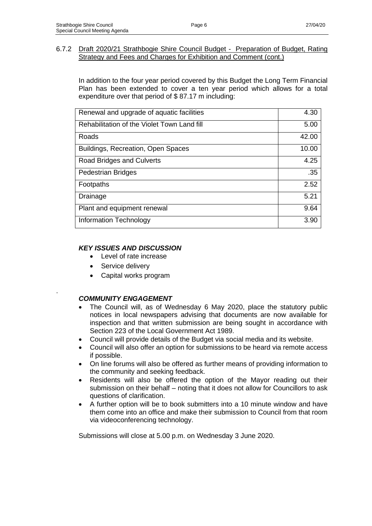#### 6.7.2 Draft 2020/21 Strathbogie Shire Council Budget - Preparation of Budget, Rating Strategy and Fees and Charges for Exhibition and Comment (cont.)

In addition to the four year period covered by this Budget the Long Term Financial Plan has been extended to cover a ten year period which allows for a total expenditure over that period of \$ 87.17 m including:

| Renewal and upgrade of aquatic facilities   | 4.30  |
|---------------------------------------------|-------|
| Rehabilitation of the Violet Town Land fill | 5.00  |
| Roads                                       | 42.00 |
| <b>Buildings, Recreation, Open Spaces</b>   | 10.00 |
| Road Bridges and Culverts                   | 4.25  |
| <b>Pedestrian Bridges</b>                   | .35   |
| Footpaths                                   | 2.52  |
| Drainage                                    | 5.21  |
| Plant and equipment renewal                 | 9.64  |
| Information Technology                      | 3.90  |

# *KEY ISSUES AND DISCUSSION*

- Level of rate increase
- Service delivery

.

• Capital works program

# *COMMUNITY ENGAGEMENT*

- The Council will, as of Wednesday 6 May 2020, place the statutory public notices in local newspapers advising that documents are now available for inspection and that written submission are being sought in accordance with Section 223 of the Local Government Act 1989.
- Council will provide details of the Budget via social media and its website.
- Council will also offer an option for submissions to be heard via remote access if possible.
- On line forums will also be offered as further means of providing information to the community and seeking feedback.
- Residents will also be offered the option of the Mayor reading out their submission on their behalf – noting that it does not allow for Councillors to ask questions of clarification.
- A further option will be to book submitters into a 10 minute window and have them come into an office and make their submission to Council from that room via videoconferencing technology.

Submissions will close at 5.00 p.m. on Wednesday 3 June 2020.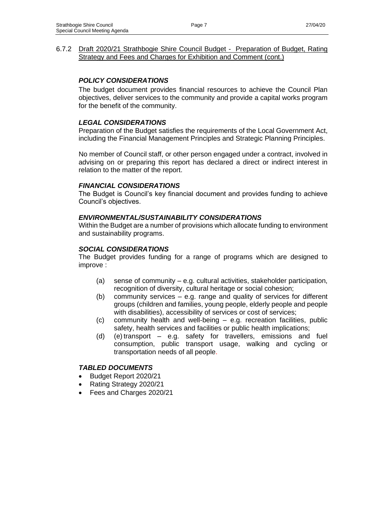#### 6.7.2 Draft 2020/21 Strathbogie Shire Council Budget - Preparation of Budget, Rating Strategy and Fees and Charges for Exhibition and Comment (cont.)

### *POLICY CONSIDERATIONS*

The budget document provides financial resources to achieve the Council Plan objectives, deliver services to the community and provide a capital works program for the benefit of the community.

### *LEGAL CONSIDERATIONS*

Preparation of the Budget satisfies the requirements of the Local Government Act, including the Financial Management Principles and Strategic Planning Principles.

No member of Council staff, or other person engaged under a contract, involved in advising on or preparing this report has declared a direct or indirect interest in relation to the matter of the report.

### *FINANCIAL CONSIDERATIONS*

The Budget is Council's key financial document and provides funding to achieve Council's objectives.

#### *ENVIRONMENTAL/SUSTAINABILITY CONSIDERATIONS*

Within the Budget are a number of provisions which allocate funding to environment and sustainability programs.

#### *SOCIAL CONSIDERATIONS*

The Budget provides funding for a range of programs which are designed to improve :

- (a) sense of community e.g. cultural activities, stakeholder participation, recognition of diversity, cultural heritage or social cohesion;
- (b) community services e.g. range and quality of services for different groups (children and families, young people, elderly people and people with disabilities), accessibility of services or cost of services;
- (c) community health and well-being e.g. recreation facilities, public safety, health services and facilities or public health implications;
- (d) (e) transport e.g. safety for travellers, emissions and fuel consumption, public transport usage, walking and cycling or transportation needs of all people.

#### *TABLED DOCUMENTS*

- Budget Report 2020/21
- Rating Strategy 2020/21
- Fees and Charges 2020/21